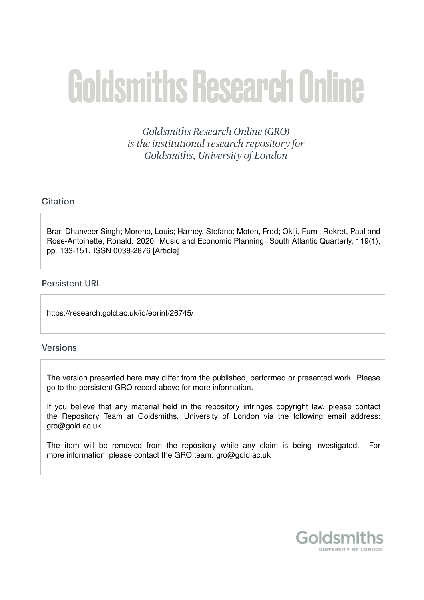# **Goldsmiths Research Online**

Goldsmiths Research Online (GRO) is the institutional research repository for Goldsmiths, University of London

# Citation

Brar, Dhanveer Singh; Moreno, Louis; Harney, Stefano; Moten, Fred; Okiji, Fumi; Rekret, Paul and Rose-Antoinette, Ronald. 2020. Music and Economic Planning. South Atlantic Quarterly, 119(1), pp. 133-151. ISSN 0038-2876 [Article]

## **Persistent URL**

https://research.gold.ac.uk/id/eprint/26745/

#### **Versions**

The version presented here may differ from the published, performed or presented work. Please go to the persistent GRO record above for more information.

If you believe that any material held in the repository infringes copyright law, please contact the Repository Team at Goldsmiths, University of London via the following email address: gro@gold.ac.uk.

The item will be removed from the repository while any claim is being investigated. For more information, please contact the GRO team: gro@gold.ac.uk

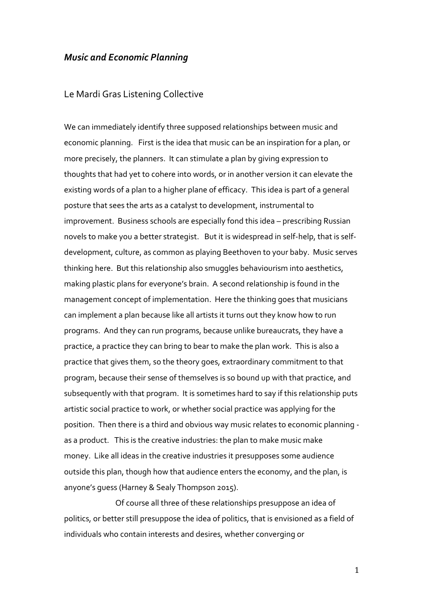# *Music and Economic Planning*

### Le Mardi Gras Listening Collective

We can immediately identify three supposed relationships between music and economic planning. First is the idea that music can be an inspiration for a plan, or more precisely, the planners. It can stimulate a plan by giving expression to thoughts that had yet to cohere into words, or in another version it can elevate the existing words of a plan to a higher plane of efficacy. This idea is part of a general posture that sees the arts as a catalyst to development, instrumental to improvement. Business schools are especially fond this idea – prescribing Russian novels to make you a better strategist. But it is widespread in self-help, that is selfdevelopment, culture, as common as playing Beethoven to your baby. Music serves thinking here. But this relationship also smuggles behaviourism into aesthetics, making plastic plans for everyone's brain. A second relationship is found in the management concept of implementation. Here the thinking goes that musicians can implement a plan because like all artists it turns out they know how to run programs. And they can run programs, because unlike bureaucrats, they have a practice, a practice they can bring to bear to make the plan work. This is also a practice that gives them, so the theory goes, extraordinary commitment to that program, because their sense of themselves is so bound up with that practice, and subsequently with that program. It is sometimes hard to say if this relationship puts artistic social practice to work, or whether social practice was applying for the position. Then there is a third and obvious way music relates to economic planning as a product. This is the creative industries: the plan to make music make money. Like all ideas in the creative industries it presupposes some audience outside this plan, though how that audience enters the economy, and the plan, is anyone's guess (Harney & Sealy Thompson 2015).

Of course all three of these relationships presuppose an idea of politics, or better still presuppose the idea of politics, that is envisioned as a field of individuals who contain interests and desires, whether converging or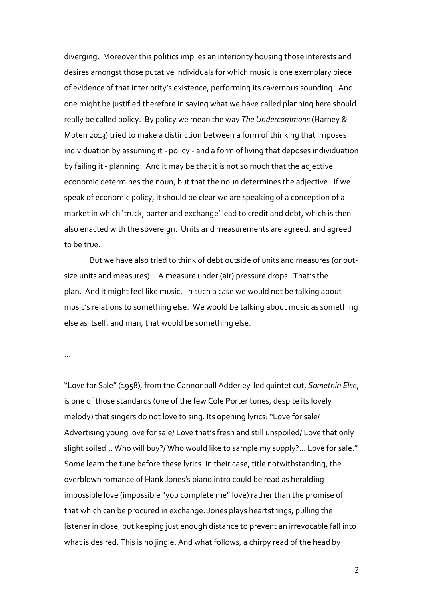diverging. Moreover this politics implies an interiority housing those interests and desires amongst those putative individuals for which music is one exemplary piece of evidence of that interiority's existence, performing its cavernous sounding. And one might be justified therefore in saying what we have called planning here should really be called policy. By policy we mean the way *The Undercommons* (Harney & Moten 2013) tried to make a distinction between a form of thinking that imposes individuation by assuming it - policy - and a form of living that deposes individuation by failing it - planning. And it may be that it is not so much that the adjective economic determines the noun, but that the noun determines the adjective. If we speak of economic policy, it should be clear we are speaking of a conception of a market in which 'truck, barter and exchange' lead to credit and debt, which is then also enacted with the sovereign. Units and measurements are agreed, and agreed to be true.

But we have also tried to think of debt outside of units and measures (or outsize units and measures)… A measure under (air) pressure drops. That's the plan. And it might feel like music. In such a case we would not be talking about music's relations to something else. We would be talking about music as something else as itself, and man, that would be something else.

…

"Love for Sale" (1958), from the Cannonball Adderley-led quintet cut, *Somethin Else*, is one of those standards (one of the few Cole Porter tunes, despite its lovely melody) that singers do not love to sing. Its opening lyrics: "Love for sale/ Advertising young love for sale/ Love that's fresh and still unspoiled/ Love that only slight soiled… Who will buy?/ Who would like to sample my supply?… Love for sale." Some learn the tune before these lyrics. In their case, title notwithstanding, the overblown romance of Hank Jones's piano intro could be read as heralding impossible love (impossible "you complete me" love) rather than the promise of that which can be procured in exchange. Jones plays heartstrings, pulling the listener in close, but keeping just enough distance to prevent an irrevocable fall into what is desired. This is no jingle. And what follows, a chirpy read of the head by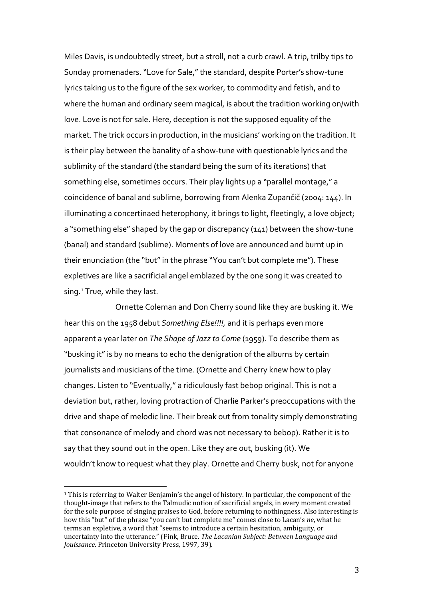Miles Davis, is undoubtedly street, but a stroll, not a curb crawl. A trip, trilby tips to Sunday promenaders. "Love for Sale," the standard, despite Porter's show-tune lyrics taking us to the figure of the sex worker, to commodity and fetish, and to where the human and ordinary seem magical, is about the tradition working on/with love. Love is not for sale. Here, deception is not the supposed equality of the market. The trick occurs in production, in the musicians' working on the tradition. It is their play between the banality of a show-tune with questionable lyrics and the sublimity of the standard (the standard being the sum of its iterations) that something else, sometimes occurs. Their play lights up a "parallel montage," a coincidence of banal and sublime, borrowing from Alenka Zupančič (2004: 144). In illuminating a concertinaed heterophony, it brings to light, fleetingly, a love object; a "something else" shaped by the gap or discrepancy (141) between the show-tune (banal) and standard (sublime). Moments of love are announced and burnt up in their enunciation (the "but" in the phrase "You can't but complete me"). These expletives are like a sacrificial angel emblazed by the one song it was created to sing.<sup>1</sup> True, while they last.

Ornette Coleman and Don Cherry sound like they are busking it. We hear this on the 1958 debut *Something Else!!!!,* and it is perhaps even more apparent a year later on *The Shape of Jazz to Come* (1959). To describe them as "busking it" is by no means to echo the denigration of the albums by certain journalists and musicians of the time. (Ornette and Cherry knew how to play changes. Listen to "Eventually," a ridiculously fast bebop original. This is not a deviation but, rather, loving protraction of Charlie Parker's preoccupations with the drive and shape of melodic line. Their break out from tonality simply demonstrating that consonance of melody and chord was not necessary to bebop). Rather it is to say that they sound out in the open. Like they are out, busking (it). We wouldn't know to request what they play. Ornette and Cherry busk, not for anyone

<u>.</u>

<sup>&</sup>lt;sup>1</sup> This is referring to Walter Benjamin's the angel of history. In particular, the component of the thought-image that refers to the Talmudic notion of sacrificial angels, in every moment created for the sole purpose of singing praises to God, before returning to nothingness. Also interesting is how this "but" of the phrase "you can't but complete me" comes close to Lacan's *ne*, what he terms an expletive, a word that "seems to introduce a certain hesitation, ambiguity, or uncertainty into the utterance." (Fink, Bruce. *The Lacanian Subject: Between Language and Jouissance*. Princeton University Press, 1997, 39).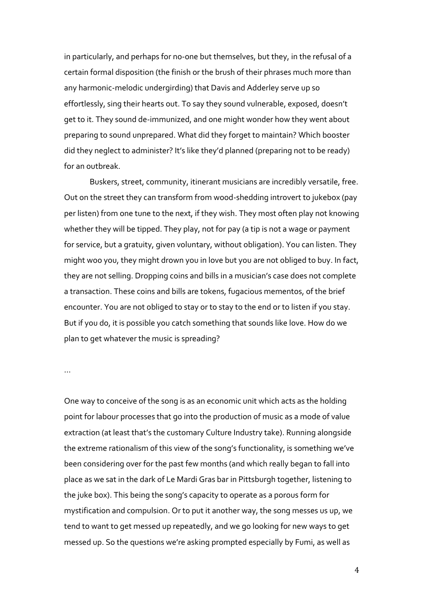in particularly, and perhaps for no-one but themselves, but they, in the refusal of a certain formal disposition (the finish or the brush of their phrases much more than any harmonic-melodic undergirding) that Davis and Adderley serve up so effortlessly, sing their hearts out. To say they sound vulnerable, exposed, doesn't get to it. They sound de-immunized, and one might wonder how they went about preparing to sound unprepared. What did they forget to maintain? Which booster did they neglect to administer? It's like they'd planned (preparing not to be ready) for an outbreak.

Buskers, street, community, itinerant musicians are incredibly versatile, free. Out on the street they can transform from wood-shedding introvert to jukebox (pay per listen) from one tune to the next, if they wish. They most often play not knowing whether they will be tipped. They play, not for pay (a tip is not a wage or payment for service, but a gratuity, given voluntary, without obligation). You can listen. They might woo you, they might drown you in love but you are not obliged to buy. In fact, they are not selling. Dropping coins and bills in a musician's case does not complete a transaction. These coins and bills are tokens, fugacious mementos, of the brief encounter. You are not obliged to stay or to stay to the end or to listen if you stay. But if you do, it is possible you catch something that sounds like love. How do we plan to get whatever the music is spreading?

…

One way to conceive of the song is as an economic unit which acts as the holding point for labour processes that go into the production of music as a mode of value extraction (at least that's the customary Culture Industry take). Running alongside the extreme rationalism of this view of the song's functionality, is something we've been considering over for the past few months (and which really began to fall into place as we sat in the dark of Le Mardi Gras bar in Pittsburgh together, listening to the juke box). This being the song's capacity to operate as a porous form for mystification and compulsion. Or to put it another way, the song messes us up, we tend to want to get messed up repeatedly, and we go looking for new ways to get messed up. So the questions we're asking prompted especially by Fumi, as well as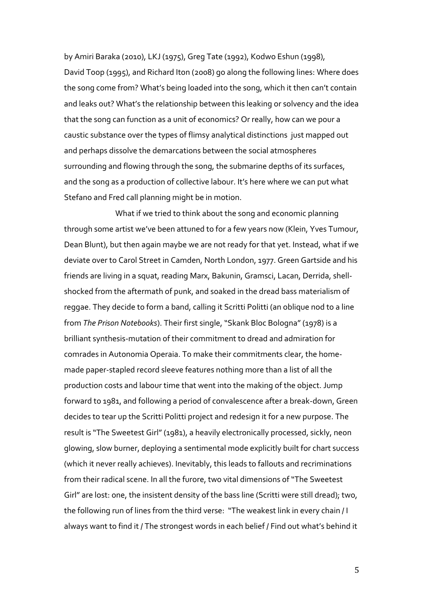by Amiri Baraka (2010), LKJ (1975), Greg Tate (1992), Kodwo Eshun (1998), David Toop (1995), and Richard Iton (2008) go along the following lines: Where does the song come from? What's being loaded into the song, which it then can't contain and leaks out? What's the relationship between this leaking or solvency and the idea that the song can function as a unit of economics? Or really, how can we pour a caustic substance over the types of flimsy analytical distinctions just mapped out and perhaps dissolve the demarcations between the social atmospheres surrounding and flowing through the song, the submarine depths of its surfaces, and the song as a production of collective labour. It's here where we can put what Stefano and Fred call planning might be in motion.

What if we tried to think about the song and economic planning through some artist we've been attuned to for a few years now (Klein, Yves Tumour, Dean Blunt), but then again maybe we are not ready for that yet. Instead, what if we deviate over to Carol Street in Camden, North London, 1977. Green Gartside and his friends are living in a squat, reading Marx, Bakunin, Gramsci, Lacan, Derrida, shellshocked from the aftermath of punk, and soaked in the dread bass materialism of reggae. They decide to form a band, calling it Scritti Politti (an oblique nod to a line from *The Prison Notebooks*). Their first single, "Skank Bloc Bologna" (1978) is a brilliant synthesis-mutation of their commitment to dread and admiration for comrades in Autonomia Operaia. To make their commitments clear, the homemade paper-stapled record sleeve features nothing more than a list of all the production costs and labour time that went into the making of the object. Jump forward to 1981, and following a period of convalescence after a break-down, Green decides to tear up the Scritti Politti project and redesign it for a new purpose. The result is "The Sweetest Girl" (1981), a heavily electronically processed, sickly, neon glowing, slow burner, deploying a sentimental mode explicitly built for chart success (which it never really achieves). Inevitably, this leads to fallouts and recriminations from their radical scene. In all the furore, two vital dimensions of "The Sweetest Girl" are lost: one, the insistent density of the bass line (Scritti were still dread); two, the following run of lines from the third verse: "The weakest link in every chain / I always want to find it / The strongest words in each belief / Find out what's behind it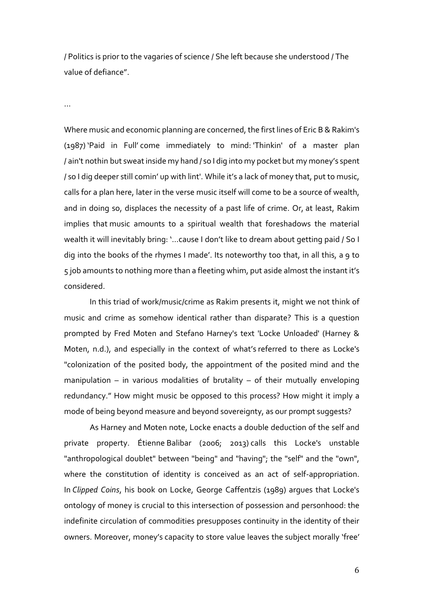/ Politics is prior to the vagaries of science / She left because she understood / The value of defiance".

…

Where music and economic planning are concerned, the first lines of Eric B & Rakim's (1987) 'Paid in Full' come immediately to mind: 'Thinkin' of a master plan / ain't nothin but sweat inside my hand / so I dig into my pocket but my money's spent / so I dig deeper still comin' up with lint'. While it's a lack of money that, put to music, calls for a plan here, later in the verse music itself will come to be a source of wealth, and in doing so, displaces the necessity of a past life of crime. Or, at least, Rakim implies that music amounts to a spiritual wealth that foreshadows the material wealth it will inevitably bring: '…cause I don't like to dream about getting paid / So I dig into the books of the rhymes I made'. Its noteworthy too that, in all this, a 9 to 5 job amounts to nothing more than a fleeting whim, put aside almost the instant it's considered.

In this triad of work/music/crime as Rakim presents it, might we not think of music and crime as somehow identical rather than disparate? This is a question prompted by Fred Moten and Stefano Harney's text 'Locke Unloaded' (Harney & Moten, n.d.), and especially in the context of what's referred to there as Locke's "colonization of the posited body, the appointment of the posited mind and the manipulation – in various modalities of brutality – of their mutually enveloping redundancy." How might music be opposed to this process? How might it imply a mode of being beyond measure and beyond sovereignty, as our prompt suggests?

As Harney and Moten note, Locke enacts a double deduction of the self and private property. Étienne Balibar (2006; 2013) calls this Locke's unstable "anthropological doublet" between "being" and "having"; the "self" and the "own", where the constitution of identity is conceived as an act of self-appropriation. In *Clipped Coins*, his book on Locke, George Caffentzis (1989) argues that Locke's ontology of money is crucial to this intersection of possession and personhood: the indefinite circulation of commodities presupposes continuity in the identity of their owners. Moreover, money's capacity to store value leaves the subject morally 'free'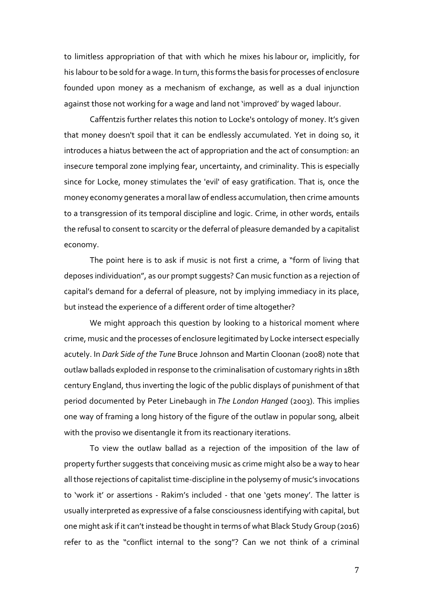to limitless appropriation of that with which he mixes his labour or, implicitly, for his labour to be sold for a wage. In turn, this forms the basis for processes of enclosure founded upon money as a mechanism of exchange, as well as a dual injunction against those not working for a wage and land not 'improved' by waged labour.

Caffentzis further relates this notion to Locke's ontology of money. It's given that money doesn't spoil that it can be endlessly accumulated. Yet in doing so, it introduces a hiatus between the act of appropriation and the act of consumption: an insecure temporal zone implying fear, uncertainty, and criminality. This is especially since for Locke, money stimulates the 'evil' of easy gratification. That is, once the money economy generates a moral law of endless accumulation, then crime amounts to a transgression of its temporal discipline and logic. Crime, in other words, entails the refusal to consent to scarcity or the deferral of pleasure demanded by a capitalist economy.

The point here is to ask if music is not first a crime, a "form of living that deposes individuation", as our prompt suggests? Can music function as a rejection of capital's demand for a deferral of pleasure, not by implying immediacy in its place, but instead the experience of a different order of time altogether?

We might approach this question by looking to a historical moment where crime, music and the processes of enclosure legitimated by Locke intersect especially acutely. In *Dark Side of the Tune* Bruce Johnson and Martin Cloonan (2008) note that outlaw ballads exploded in response to the criminalisation of customary rights in 18th century England, thus inverting the logic of the public displays of punishment of that period documented by Peter Linebaugh in *The London Hanged* (2003). This implies one way of framing a long history of the figure of the outlaw in popular song, albeit with the proviso we disentangle it from its reactionary iterations.

To view the outlaw ballad as a rejection of the imposition of the law of property further suggests that conceiving music as crime might also be a way to hear all those rejections of capitalist time-discipline in the polysemy of music's invocations to 'work it' or assertions - Rakim's included - that one 'gets money'. The latter is usually interpreted as expressive of a false consciousness identifying with capital, but one might ask if it can't instead be thought in terms of what Black Study Group (2016) refer to as the "conflict internal to the song"? Can we not think of a criminal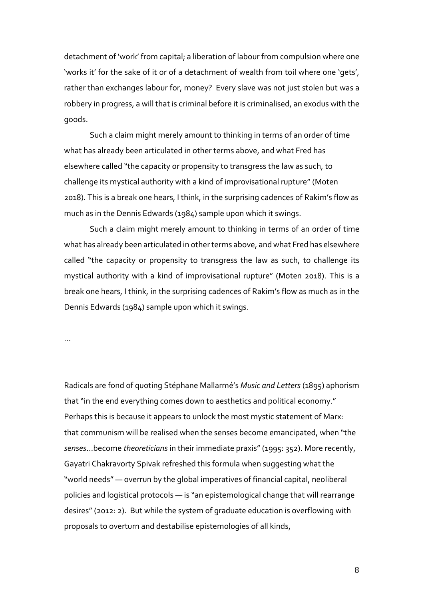detachment of 'work' from capital; a liberation of labour from compulsion where one 'works it' for the sake of it or of a detachment of wealth from toil where one 'gets', rather than exchanges labour for, money? Every slave was not just stolen but was a robbery in progress, a will that is criminal before it is criminalised, an exodus with the goods.

Such a claim might merely amount to thinking in terms of an order of time what has already been articulated in other terms above, and what Fred has elsewhere called "the capacity or propensity to transgress the law as such, to challenge its mystical authority with a kind of improvisational rupture" (Moten 2018). This is a break one hears, I think, in the surprising cadences of Rakim's flow as much as in the Dennis Edwards (1984) sample upon which it swings.

Such a claim might merely amount to thinking in terms of an order of time what has already been articulated in other terms above, and what Fred has elsewhere called "the capacity or propensity to transgress the law as such, to challenge its mystical authority with a kind of improvisational rupture" (Moten 2018). This is a break one hears, I think, in the surprising cadences of Rakim's flow as much as in the Dennis Edwards (1984) sample upon which it swings.

…

Radicals are fond of quoting Stéphane Mallarmé's *Music and Letters* (1895) aphorism that "in the end everything comes down to aesthetics and political economy." Perhaps this is because it appears to unlock the most mystic statement of Marx: that communism will be realised when the senses become emancipated, when "the *senses*…become *theoreticians* in their immediate praxis" (1995: 352). More recently, Gayatri Chakravorty Spivak refreshed this formula when suggesting what the "world needs" — overrun by the global imperatives of financial capital, neoliberal policies and logistical protocols — is "an epistemological change that will rearrange desires" (2012: 2). But while the system of graduate education is overflowing with proposals to overturn and destabilise epistemologies of all kinds,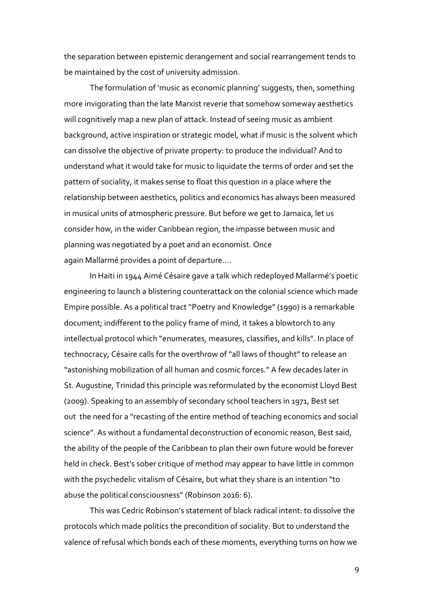the separation between epistemic derangement and social rearrangement tends to be maintained by the cost of university admission.

The formulation of 'music as economic planning' suggests, then, something more invigorating than the late Marxist reverie that somehow someway aesthetics will cognitively map a new plan of attack. Instead of seeing music as ambient background, active inspiration or strategic model, what if music is the solvent which can dissolve the objective of private property: to produce the individual? And to understand what it would take for music to liquidate the terms of order and set the pattern of sociality, it makes sense to float this question in a place where the relationship between aesthetics, politics and economics has always been measured in musical units of atmospheric pressure. But before we get to Jamaica, let us consider how, in the wider Caribbean region, the impasse between music and planning was negotiated by a poet and an economist. Once again Mallarmé provides a point of departure....

In Haiti in 1944 Aimé Césaire gave a talk which redeployed Mallarmé's poetic engineering to launch a blistering counterattack on the colonial science which made Empire possible. As a political tract "Poetry and Knowledge" (1990) is a remarkable document; indifferent to the policy frame of mind, it takes a blowtorch to any intellectual protocol which "enumerates, measures, classifies, and kills". In place of technocracy, Césaire calls for the overthrow of "all laws of thought" to release an "astonishing mobilization of all human and cosmic forces." A few decades later in St. Augustine, Trinidad this principle was reformulated by the economist Lloyd Best (2009). Speaking to an assembly of secondary school teachers in 1971, Best set out the need for a "recasting of the entire method of teaching economics and social science". As without a fundamental deconstruction of economic reason, Best said, the ability of the people of the Caribbean to plan their own future would be forever held in check. Best's sober critique of method may appear to have little in common with the psychedelic vitalism of Césaire, but what they share is an intention "to abuse the political consciousness" (Robinson 2016: 6).

This was Cedric Robinson's statement of black radical intent: to dissolve the protocols which made politics the precondition of sociality. But to understand the valence of refusal which bonds each of these moments, everything turns on how we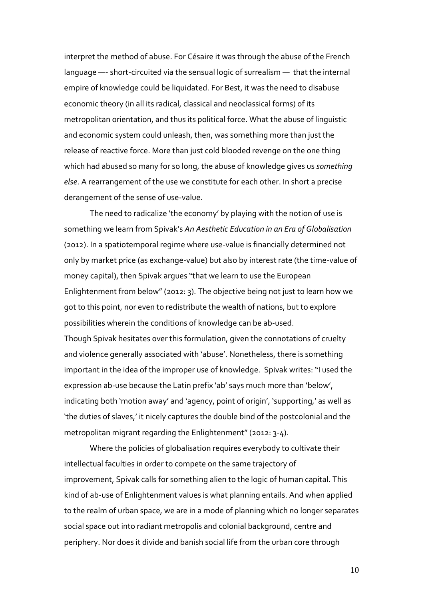interpret the method of abuse. For Césaire it was through the abuse of the French language —- short-circuited via the sensual logic of surrealism — that the internal empire of knowledge could be liquidated. For Best, it was the need to disabuse economic theory (in all its radical, classical and neoclassical forms) of its metropolitan orientation, and thus its political force. What the abuse of linguistic and economic system could unleash, then, was something more than just the release of reactive force. More than just cold blooded revenge on the one thing which had abused so many for so long, the abuse of knowledge gives us *something else*. A rearrangement of the use we constitute for each other. In short a precise derangement of the sense of use-value.

The need to radicalize 'the economy' by playing with the notion of use is something we learn from Spivak's *An Aesthetic Education in an Era of Globalisation* (2012). In a spatiotemporal regime where use-value is financially determined not only by market price (as exchange-value) but also by interest rate (the time-value of money capital), then Spivak argues "that we learn to use the European Enlightenment from below" (2012: 3). The objective being not just to learn how we got to this point, nor even to redistribute the wealth of nations, but to explore possibilities wherein the conditions of knowledge can be ab-used. Though Spivak hesitates over this formulation, given the connotations of cruelty and violence generally associated with 'abuse'. Nonetheless, there is something important in the idea of the improper use of knowledge. Spivak writes: "I used the expression ab-use because the Latin prefix 'ab' says much more than 'below', indicating both 'motion away' and 'agency, point of origin', 'supporting,' as well as 'the duties of slaves,' it nicely captures the double bind of the postcolonial and the metropolitan migrant regarding the Enlightenment" (2012: 3-4).

Where the policies of globalisation requires everybody to cultivate their intellectual faculties in order to compete on the same trajectory of improvement, Spivak calls for something alien to the logic of human capital. This kind of ab-use of Enlightenment values is what planning entails. And when applied to the realm of urban space, we are in a mode of planning which no longer separates social space out into radiant metropolis and colonial background, centre and periphery. Nor does it divide and banish social life from the urban core through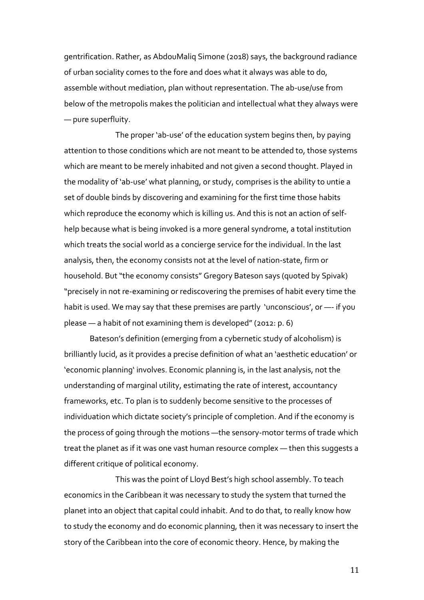gentrification. Rather, as AbdouMaliq Simone (2018) says, the background radiance of urban sociality comes to the fore and does what it always was able to do, assemble without mediation, plan without representation. The ab-use/use from below of the metropolis makes the politician and intellectual what they always were — pure superfluity.

The proper 'ab-use' of the education system begins then, by paying attention to those conditions which are not meant to be attended to, those systems which are meant to be merely inhabited and not given a second thought. Played in the modality of 'ab-use' what planning, or study, comprises is the ability to untie a set of double binds by discovering and examining for the first time those habits which reproduce the economy which is killing us. And this is not an action of selfhelp because what is being invoked is a more general syndrome, a total institution which treats the social world as a concierge service for the individual. In the last analysis, then, the economy consists not at the level of nation-state, firm or household. But "the economy consists" Gregory Bateson says (quoted by Spivak) "precisely in not re-examining or rediscovering the premises of habit every time the habit is used. We may say that these premises are partly 'unconscious', or —- if you please — a habit of not examining them is developed" (2012: p. 6)

Bateson's definition (emerging from a cybernetic study of alcoholism) is brilliantly lucid, as it provides a precise definition of what an 'aesthetic education' or 'economic planning' involves. Economic planning is, in the last analysis, not the understanding of marginal utility, estimating the rate of interest, accountancy frameworks, etc. To plan is to suddenly become sensitive to the processes of individuation which dictate society's principle of completion. And if the economy is the process of going through the motions —the sensory-motor terms of trade which treat the planet as if it was one vast human resource complex — then this suggests a different critique of political economy.

This was the point of Lloyd Best's high school assembly. To teach economics in the Caribbean it was necessary to study the system that turned the planet into an object that capital could inhabit. And to do that, to really know how to study the economy and do economic planning, then it was necessary to insert the story of the Caribbean into the core of economic theory. Hence, by making the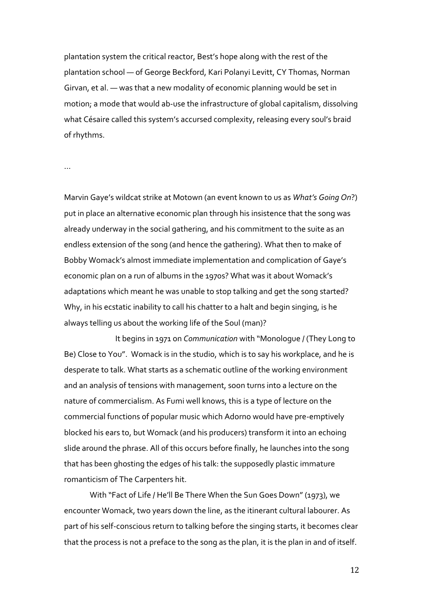plantation system the critical reactor, Best's hope along with the rest of the plantation school — of George Beckford, Kari Polanyi Levitt, CY Thomas, Norman Girvan, et al. — was that a new modality of economic planning would be set in motion; a mode that would ab-use the infrastructure of global capitalism, dissolving what Césaire called this system's accursed complexity, releasing every soul's braid of rhythms.

…

Marvin Gaye's wildcat strike at Motown (an event known to us as *What's Going On*?) put in place an alternative economic plan through his insistence that the song was already underway in the social gathering, and his commitment to the suite as an endless extension of the song (and hence the gathering). What then to make of Bobby Womack's almost immediate implementation and complication of Gaye's economic plan on a run of albums in the 1970s? What was it about Womack's adaptations which meant he was unable to stop talking and get the song started? Why, in his ecstatic inability to call his chatter to a halt and begin singing, is he always telling us about the working life of the Soul (man)?

It begins in 1971 on *Communication* with "Monologue / (They Long to Be) Close to You". Womack is in the studio, which is to say his workplace, and he is desperate to talk. What starts as a schematic outline of the working environment and an analysis of tensions with management, soon turns into a lecture on the nature of commercialism. As Fumi well knows, this is a type of lecture on the commercial functions of popular music which Adorno would have pre-emptively blocked his ears to, but Womack (and his producers) transform it into an echoing slide around the phrase. All of this occurs before finally, he launches into the song that has been ghosting the edges of his talk: the supposedly plastic immature romanticism of The Carpenters hit.

With "Fact of Life / He'll Be There When the Sun Goes Down" (1973), we encounter Womack, two years down the line, as the itinerant cultural labourer. As part of his self-conscious return to talking before the singing starts, it becomes clear that the process is not a preface to the song as the plan, it is the plan in and of itself.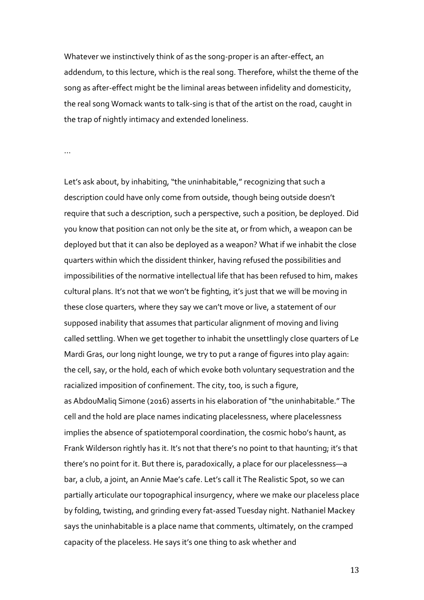Whatever we instinctively think of as the song-proper is an after-effect, an addendum, to this lecture, which is the real song. Therefore, whilst the theme of the song as after-effect might be the liminal areas between infidelity and domesticity, the real song Womack wants to talk-sing is that of the artist on the road, caught in the trap of nightly intimacy and extended loneliness.

…

Let's ask about, by inhabiting, "the uninhabitable," recognizing that such a description could have only come from outside, though being outside doesn't require that such a description, such a perspective, such a position, be deployed. Did you know that position can not only be the site at, or from which, a weapon can be deployed but that it can also be deployed as a weapon? What if we inhabit the close quarters within which the dissident thinker, having refused the possibilities and impossibilities of the normative intellectual life that has been refused to him, makes cultural plans. It's not that we won't be fighting, it's just that we will be moving in these close quarters, where they say we can't move or live, a statement of our supposed inability that assumes that particular alignment of moving and living called settling. When we get together to inhabit the unsettlingly close quarters of Le Mardi Gras, our long night lounge, we try to put a range of figures into play again: the cell, say, or the hold, each of which evoke both voluntary sequestration and the racialized imposition of confinement. The city, too, is such a figure, as AbdouMaliq Simone (2016) asserts in his elaboration of "the uninhabitable." The cell and the hold are place names indicating placelessness, where placelessness implies the absence of spatiotemporal coordination, the cosmic hobo's haunt, as Frank Wilderson rightly has it. It's not that there's no point to that haunting; it's that there's no point for it. But there is, paradoxically, a place for our placelessness—a bar, a club, a joint, an Annie Mae's cafe. Let's call it The Realistic Spot, so we can partially articulate our topographical insurgency, where we make our placeless place by folding, twisting, and grinding every fat-assed Tuesday night. Nathaniel Mackey says the uninhabitable is a place name that comments, ultimately, on the cramped capacity of the placeless. He says it's one thing to ask whether and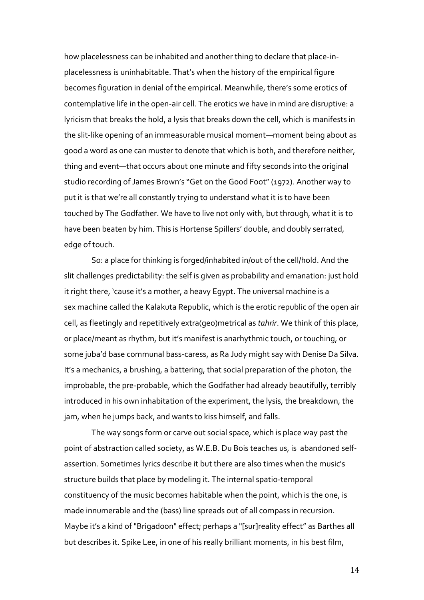how placelessness can be inhabited and another thing to declare that place-inplacelessness is uninhabitable. That's when the history of the empirical figure becomes figuration in denial of the empirical. Meanwhile, there's some erotics of contemplative life in the open-air cell. The erotics we have in mind are disruptive: a lyricism that breaks the hold, a lysis that breaks down the cell, which is manifests in the slit-like opening of an immeasurable musical moment—moment being about as good a word as one can muster to denote that which is both, and therefore neither, thing and event—that occurs about one minute and fifty seconds into the original studio recording of James Brown's "Get on the Good Foot" (1972). Another way to put it is that we're all constantly trying to understand what it is to have been touched by The Godfather. We have to live not only with, but through, what it is to have been beaten by him. This is Hortense Spillers' double, and doubly serrated, edge of touch.

So: a place for thinking is forged/inhabited in/out of the cell/hold. And the slit challenges predictability: the self is given as probability and emanation: just hold it right there, 'cause it's a mother, a heavy Egypt. The universal machine is a sex machine called the Kalakuta Republic, which is the erotic republic of the open air cell, as fleetingly and repetitively extra(geo)metrical as *tahrir*. We think of this place, or place/meant as rhythm, but it's manifest is anarhythmic touch, or touching, or some juba'd base communal bass-caress, as Ra Judy might say with Denise Da Silva. It's a mechanics, a brushing, a battering, that social preparation of the photon, the improbable, the pre-probable, which the Godfather had already beautifully, terribly introduced in his own inhabitation of the experiment, the lysis, the breakdown, the jam, when he jumps back, and wants to kiss himself, and falls.

The way songs form or carve out social space, which is place way past the point of abstraction called society, as W.E.B. Du Bois teaches us, is abandoned selfassertion. Sometimes lyrics describe it but there are also times when the music's structure builds that place by modeling it. The internal spatio-temporal constituency of the music becomes habitable when the point, which is the one, is made innumerable and the (bass) line spreads out of all compass in recursion. Maybe it's a kind of "Brigadoon" effect; perhaps a "[sur]reality effect" as Barthes all but describes it. Spike Lee, in one of his really brilliant moments, in his best film,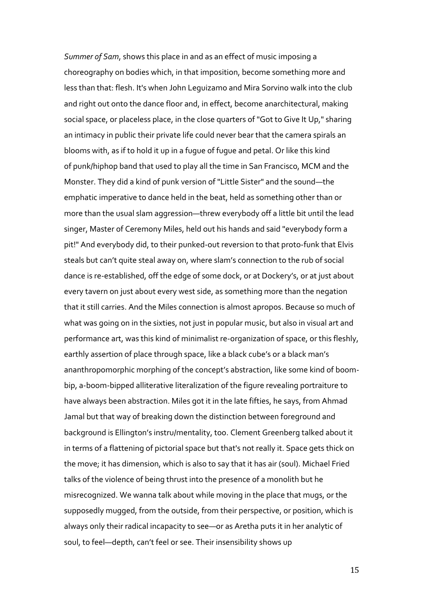*Summer of Sam*, shows this place in and as an effect of music imposing a choreography on bodies which, in that imposition, become something more and less than that: flesh. It's when John Leguizamo and Mira Sorvino walk into the club and right out onto the dance floor and, in effect, become anarchitectural, making social space, or placeless place, in the close quarters of "Got to Give It Up," sharing an intimacy in public their private life could never bear that the camera spirals an blooms with, as if to hold it up in a fugue of fugue and petal. Or like this kind of punk/hiphop band that used to play all the time in San Francisco, MCM and the Monster. They did a kind of punk version of "Little Sister" and the sound—the emphatic imperative to dance held in the beat, held as something other than or more than the usual slam aggression—threw everybody off a little bit until the lead singer, Master of Ceremony Miles, held out his hands and said "everybody form a pit!" And everybody did, to their punked-out reversion to that proto-funk that Elvis steals but can't quite steal away on, where slam's connection to the rub of social dance is re-established, off the edge of some dock, or at Dockery's, or at just about every tavern on just about every west side, as something more than the negation that it still carries. And the Miles connection is almost apropos. Because so much of what was going on in the sixties, not just in popular music, but also in visual art and performance art, was this kind of minimalist re-organization of space, or this fleshly, earthly assertion of place through space, like a black cube's or a black man's ananthropomorphic morphing of the concept's abstraction, like some kind of boombip, a-boom-bipped alliterative literalization of the figure revealing portraiture to have always been abstraction. Miles got it in the late fifties, he says, from Ahmad Jamal but that way of breaking down the distinction between foreground and background is Ellington's instru/mentality, too. Clement Greenberg talked about it in terms of a flattening of pictorial space but that's not really it. Space gets thick on the move; it has dimension, which is also to say that it has air (soul). Michael Fried talks of the violence of being thrust into the presence of a monolith but he misrecognized. We wanna talk about while moving in the place that mugs, or the supposedly mugged, from the outside, from their perspective, or position, which is always only their radical incapacity to see—or as Aretha puts it in her analytic of soul, to feel—depth, can't feel or see. Their insensibility shows up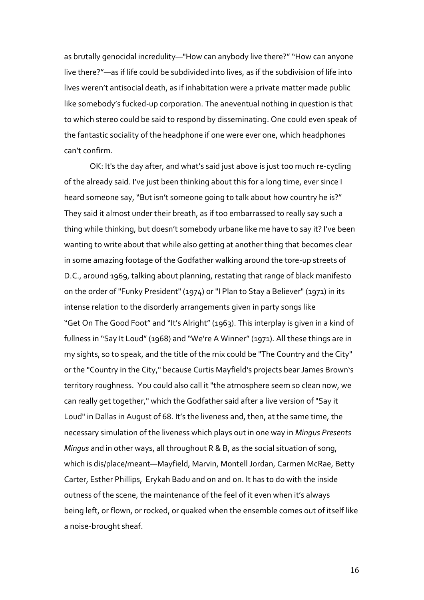as brutally genocidal incredulity—"How can anybody live there?" "How can anyone live there?"—as if life could be subdivided into lives, as if the subdivision of life into lives weren't antisocial death, as if inhabitation were a private matter made public like somebody's fucked-up corporation. The aneventual nothing in question is that to which stereo could be said to respond by disseminating. One could even speak of the fantastic sociality of the headphone if one were ever one, which headphones can't confirm.

OK: It's the day after, and what's said just above is just too much re-cycling of the already said. I've just been thinking about this for a long time, ever since I heard someone say, "But isn't someone going to talk about how country he is?" They said it almost under their breath, as if too embarrassed to really say such a thing while thinking, but doesn't somebody urbane like me have to say it? I've been wanting to write about that while also getting at another thing that becomes clear in some amazing footage of the Godfather walking around the tore-up streets of D.C., around 1969, talking about planning, restating that range of black manifesto on the order of "Funky President" (1974) or "I Plan to Stay a Believer" (1971) in its intense relation to the disorderly arrangements given in party songs like "Get On The Good Foot" and "It's Alright" (1963). This interplay is given in a kind of fullness in "Say It Loud" (1968) and "We're A Winner" (1971). All these things are in my sights, so to speak, and the title of the mix could be "The Country and the City" or the "Country in the City," because Curtis Mayfield's projects bear James Brown's territory roughness. You could also call it "the atmosphere seem so clean now, we can really get together," which the Godfather said after a live version of "Say it Loud" in Dallas in August of 68. It's the liveness and, then, at the same time, the necessary simulation of the liveness which plays out in one way in *Mingus Presents Mingus* and in other ways, all throughout R & B, as the social situation of song, which is dis/place/meant—Mayfield, Marvin, Montell Jordan, Carmen McRae, Betty Carter, Esther Phillips, Erykah Badu and on and on. It has to do with the inside outness of the scene, the maintenance of the feel of it even when it's always being left, or flown, or rocked, or quaked when the ensemble comes out of itself like a noise-brought sheaf.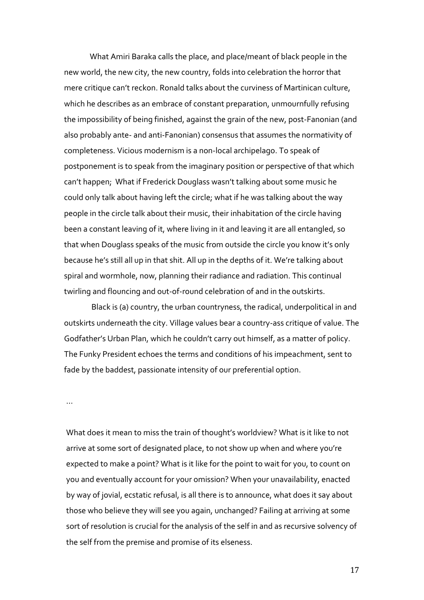What Amiri Baraka calls the place, and place/meant of black people in the new world, the new city, the new country, folds into celebration the horror that mere critique can't reckon. Ronald talks about the curviness of Martinican culture, which he describes as an embrace of constant preparation, unmournfully refusing the impossibility of being finished, against the grain of the new, post-Fanonian (and also probably ante- and anti-Fanonian) consensus that assumes the normativity of completeness. Vicious modernism is a non-local archipelago. To speak of postponement is to speak from the imaginary position or perspective of that which can't happen; What if Frederick Douglass wasn't talking about some music he could only talk about having left the circle; what if he was talking about the way people in the circle talk about their music, their inhabitation of the circle having been a constant leaving of it, where living in it and leaving it are all entangled, so that when Douglass speaks of the music from outside the circle you know it's only because he's still all up in that shit. All up in the depths of it. We're talking about spiral and wormhole, now, planning their radiance and radiation. This continual twirling and flouncing and out-of-round celebration of and in the outskirts.

Black is (a) country, the urban countryness, the radical, underpolitical in and outskirts underneath the city. Village values bear a country-ass critique of value. The Godfather's Urban Plan, which he couldn't carry out himself, as a matter of policy. The Funky President echoes the terms and conditions of his impeachment, sent to fade by the baddest, passionate intensity of our preferential option.

…

What does it mean to miss the train of thought's worldview? What is it like to not arrive at some sort of designated place, to not show up when and where you're expected to make a point? What is it like for the point to wait for you, to count on you and eventually account for your omission? When your unavailability, enacted by way of jovial, ecstatic refusal, is all there is to announce, what does it say about those who believe they will see you again, unchanged? Failing at arriving at some sort of resolution is crucial for the analysis of the self in and as recursive solvency of the self from the premise and promise of its elseness.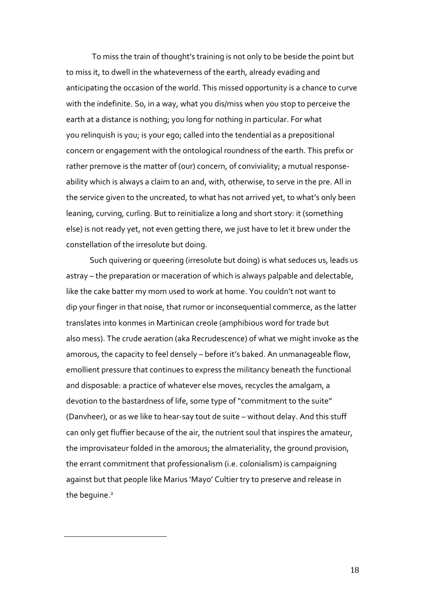To miss the train of thought's training is not only to be beside the point but to miss it, to dwell in the whateverness of the earth, already evading and anticipating the occasion of the world. This missed opportunity is a chance to curve with the indefinite. So, in a way, what you dis/miss when you stop to perceive the earth at a distance is nothing; you long for nothing in particular. For what you relinquish is you; is your ego; called into the tendential as a prepositional concern or engagement with the ontological roundness of the earth. This prefix or rather premove is the matter of (our) concern, of conviviality; a mutual responseability which is always a claim to an and, with, otherwise, to serve in the pre. All in the service given to the uncreated, to what has not arrived yet, to what's only been leaning, curving, curling. But to reinitialize a long and short story: it (something else) is not ready yet, not even getting there, we just have to let it brew under the constellation of the irresolute but doing.

Such quivering or queering (irresolute but doing) is what seduces us, leads us astray – the preparation or maceration of which is always palpable and delectable, like the cake batter my mom used to work at home. You couldn't not want to dip your finger in that noise, that rumor or inconsequential commerce, as the latter translates into konmes in Martinican creole (amphibious word for trade but also mess). The crude aeration (aka Recrudescence) of what we might invoke as the amorous, the capacity to feel densely – before it's baked. An unmanageable flow, emollient pressure that continues to express the militancy beneath the functional and disposable: a practice of whatever else moves, recycles the amalgam, a devotion to the bastardness of life, some type of "commitment to the suite" (Danvheer), or as we like to hear-say tout de suite – without delay. And this stuff can only get fluffier because of the air, the nutrient soul that inspires the amateur, the improvisateur folded in the amorous; the almateriality, the ground provision, the errant commitment that professionalism (i.e. colonialism) is campaigning against but that people like Marius 'Mayo' Cultier try to preserve and release in the beguine.<sup>2</sup>

<u>.</u>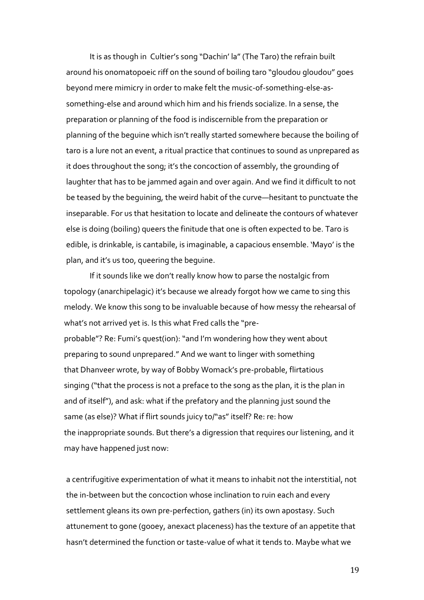It is as though in Cultier's song "Dachin' la" (The Taro) the refrain built around his onomatopoeic riff on the sound of boiling taro "gloudou gloudou" goes beyond mere mimicry in order to make felt the music-of-something-else-assomething-else and around which him and his friends socialize. In a sense, the preparation or planning of the food is indiscernible from the preparation or planning of the beguine which isn't really started somewhere because the boiling of taro is a lure not an event, a ritual practice that continues to sound as unprepared as it does throughout the song; it's the concoction of assembly, the grounding of laughter that has to be jammed again and over again. And we find it difficult to not be teased by the beguining, the weird habit of the curve—hesitant to punctuate the inseparable. For us that hesitation to locate and delineate the contours of whatever else is doing (boiling) queers the finitude that one is often expected to be. Taro is edible, is drinkable, is cantabile, is imaginable, a capacious ensemble. 'Mayo' is the plan, and it's us too, queering the beguine.

If it sounds like we don't really know how to parse the nostalgic from topology (anarchipelagic) it's because we already forgot how we came to sing this melody. We know this song to be invaluable because of how messy the rehearsal of what's not arrived yet is. Is this what Fred calls the "preprobable"? Re: Fumi's quest(ion): "and I'm wondering how they went about preparing to sound unprepared." And we want to linger with something that Dhanveer wrote, by way of Bobby Womack's pre-probable, flirtatious singing ("that the process is not a preface to the song as the plan, it is the plan in and of itself"), and ask: what if the prefatory and the planning just sound the same (as else)? What if flirt sounds juicy to/"as" itself? Re: re: how the inappropriate sounds. But there's a digression that requires our listening, and it may have happened just now:

a centrifugitive experimentation of what it means to inhabit not the interstitial, not the in-between but the concoction whose inclination to ruin each and every settlement gleans its own pre-perfection, gathers (in) its own apostasy. Such attunement to gone (gooey, anexact placeness) has the texture of an appetite that hasn't determined the function or taste-value of what it tends to. Maybe what we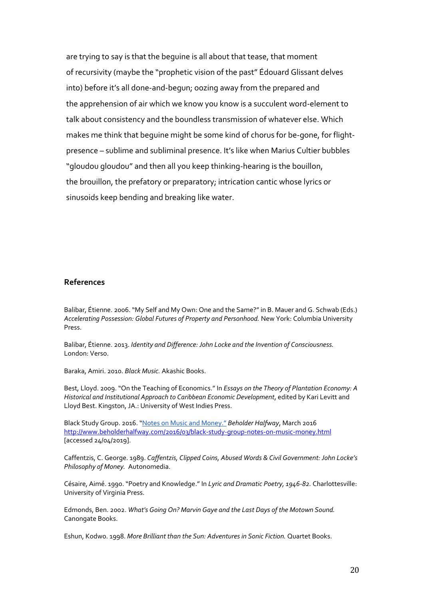are trying to say is that the beguine is all about that tease, that moment of recursivity (maybe the "prophetic vision of the past" Édouard Glissant delves into) before it's all done-and-begun; oozing away from the prepared and the apprehension of air which we know you know is a succulent word-element to talk about consistency and the boundless transmission of whatever else. Which makes me think that beguine might be some kind of chorus for be-gone, for flightpresence – sublime and subliminal presence. It's like when Marius Cultier bubbles "gloudou gloudou" and then all you keep thinking-hearing is the bouillon, the brouillon, the prefatory or preparatory; intrication cantic whose lyrics or sinusoids keep bending and breaking like water.

#### **References**

Balibar, Étienne. 2006. "My Self and My Own: One and the Same?" in B. Mauer and G. Schwab (Eds.) *Accelerating Possession: Global Futures of Property and Personhood.* New York: Columbia University Press.

Balibar, Étienne. 2013. *Identity and Difference: John Locke and the Invention of Consciousness.* London: Verso.

Baraka, Amiri. 2010. *Black Music.* Akashic Books.

Best, Lloyd. 2009. "On the Teaching of Economics." In *Essays on the Theory of Plantation Economy: A Historical and Institutional Approach to Caribbean Economic Development*, edited by Kari Levitt and Lloyd Best. Kingston, JA.: University of West Indies Press.

Black Study Group. 2016. "Notes on Music and Money." *Beholder Halfway*, March 2016 <http://www.beholderhalfway.com/2016/03/black-study-group-notes-on-music-money.html> [accessed 24/04/2019].

Caffentzis, C. George. 1989. *Caffentzis, Clipped Coins, Abused Words & Civil Government: John Locke's Philosophy of Money.* Autonomedia.

Césaire, Aimé. 1990. "Poetry and Knowledge." In *Lyric and Dramatic Poetry, 1946-82.* Charlottesville: University of Virginia Press.

Edmonds, Ben. 2002. *What's Going On? Marvin Gaye and the Last Days of the Motown Sound.*  Canongate Books.

Eshun, Kodwo. 1998. *More Brilliant than the Sun: Adventures in Sonic Fiction.* Quartet Books.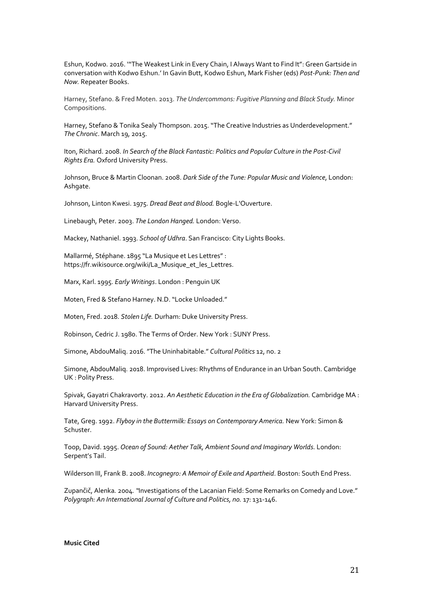Eshun, Kodwo. 2016. '"The Weakest Link in Every Chain, I Always Want to Find It": Green Gartside in conversation with Kodwo Eshun.' In Gavin Butt, Kodwo Eshun, Mark Fisher (eds) *Post-Punk: Then and Now.* Repeater Books.

Harney, Stefano. & Fred Moten. 2013. *The Undercommons: Fugitive Planning and Black Study.* Minor Compositions.

Harney, Stefano & Tonika Sealy Thompson. 2015. "The Creative Industries as Underdevelopment." *The Chronic*. March 19, 2015.

Iton, Richard. 2008. *In Search of the Black Fantastic: Politics and Popular Culture in the Post-Civil Rights Era.* Oxford University Press.

Johnson, Bruce & Martin Cloonan. 2008. *Dark Side of the Tune: Popular Music and Violence*, London: Ashgate.

Johnson, Linton Kwesi. 1975. *Dread Beat and Blood.* Bogle-L'Ouverture.

Linebaugh, Peter. 2003. *The London Hanged.* London: Verso.

Mackey, Nathaniel. 1993. *School of Udhra*. San Francisco: City Lights Books.

Mallarmé, Stéphane. 1895 "La Musique et Les Lettres" : https://fr.wikisource.org/wiki/La\_Musique\_et\_les\_Lettres.

Marx, Karl. 1995. *Early Writings*. London : Penguin UK

Moten, Fred & Stefano Harney. N.D. "Locke Unloaded."

Moten, Fred. 2018. *Stolen Life.* Durham: Duke University Press.

Robinson, Cedric J. 1980. The Terms of Order. New York : SUNY Press.

Simone, AbdouMaliq. 2016. "The Uninhabitable." *Cultural Politics* 12, no. 2

Simone, AbdouMaliq. 2018. Improvised Lives: Rhythms of Endurance in an Urban South. Cambridge UK : Polity Press.

Spivak, Gayatri Chakravorty. 2012. *An Aesthetic Education in the Era of Globalization.* Cambridge MA : Harvard University Press.

Tate, Greg. 1992. *Flyboy in the Buttermilk: Essays on Contemporary America.* New York: Simon & Schuster.

Toop, David. 1995. *Ocean of Sound: Aether Talk, Ambient Sound and Imaginary Worlds.* London: Serpent's Tail.

Wilderson III, Frank B. 2008. *Incognegro: A Memoir of Exile and Apartheid*. Boston: South End Press.

Zupančič, Alenka*.* 2004*. "*Investigations of the Lacanian Field: Some Remarks on Comedy and Love." Polygraph: An International Journal of Culture and Politics, no. 17: 131-146.